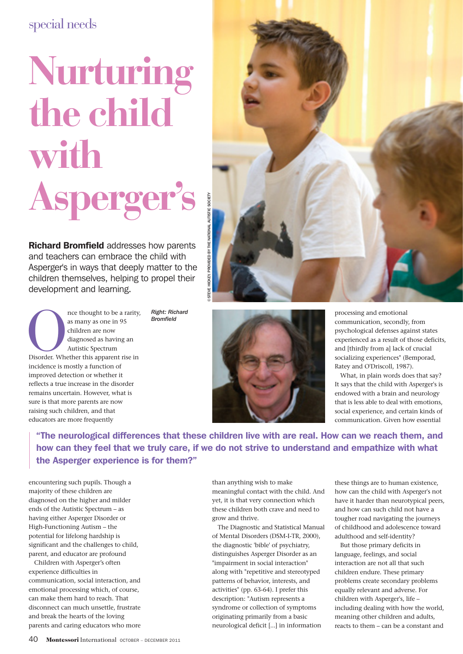## special needs

## **Nurturing the child with Asperger's**

**Richard Bromfield addresses how parents** and teachers can embrace the child with Asperger's in ways that deeply matter to the children themselves, helping to propel their development and learning.

nce thought to be a rarity,<br>
as many as one in 95<br>
children are now<br>
diagnosed as having an<br>
Autistic Spectrum<br>
Disorder. Whether this apparent rise in<br>
incidence is apparent rise in as many as one in 95 children are now diagnosed as having an Autistic Spectrum incidence is mostly a function of improved detection or whether it reflects a true increase in the disorder remains uncertain. However, what is sure is that more parents are now raising such children, and that educators are more frequently

*Right: Richard Bromfield*

processing and emotional communication, secondly, from psychological defenses against states experienced as a result of those deficits, and [thirdly from a] lack of crucial socializing experiences" (Bemporad, Ratey and O'Driscoll, 1987).

What, in plain words does that say? It says that the child with Asperger's is endowed with a brain and neurology that is less able to deal with emotions, social experience, and certain kinds of communication. Given how essential

"The neurological differences that these children live with are real. How can we reach them, and how can they feel that we truly care, if we do not strive to understand and empathize with what the Asperger experience is for them?"

encountering such pupils. Though a majority of these children are diagnosed on the higher and milder ends of the Autistic Spectrum – as having either Asperger Disorder or High-Functioning Autism – the potential for lifelong hardship is significant and the challenges to child, parent, and educator are profound

Children with Asperger's often experience difficulties in communication, social interaction, and emotional processing which, of course, can make them hard to reach. That disconnect can much unsettle, frustrate and break the hearts of the loving parents and caring educators who more

than anything wish to make meaningful contact with the child. And yet, it is that very connection which these children both crave and need to grow and thrive.

The Diagnostic and Statistical Manual of Mental Disorders (DSM-I-TR, 2000), the diagnostic 'bible' of psychiatry, distinguishes Asperger Disorder as an "impairment in social interaction" along with "repetitive and stereotyped patterns of behavior, interests, and activities" (pp. 63-64). I prefer this description: "Autism represents a syndrome or collection of symptoms originating primarily from a basic neurological deficit [...] in information

these things are to human existence, how can the child with Asperger's not have it harder than neurotypical peers, and how can such child not have a tougher road navigating the journeys of childhood and adolescence toward adulthood and self-identity?

But those primary deficits in language, feelings, and social interaction are not all that such children endure. These primary problems create secondary problems equally relevant and adverse. For children with Asperger's, life – including dealing with how the world, meaning other children and adults, reacts to them – can be a constant and